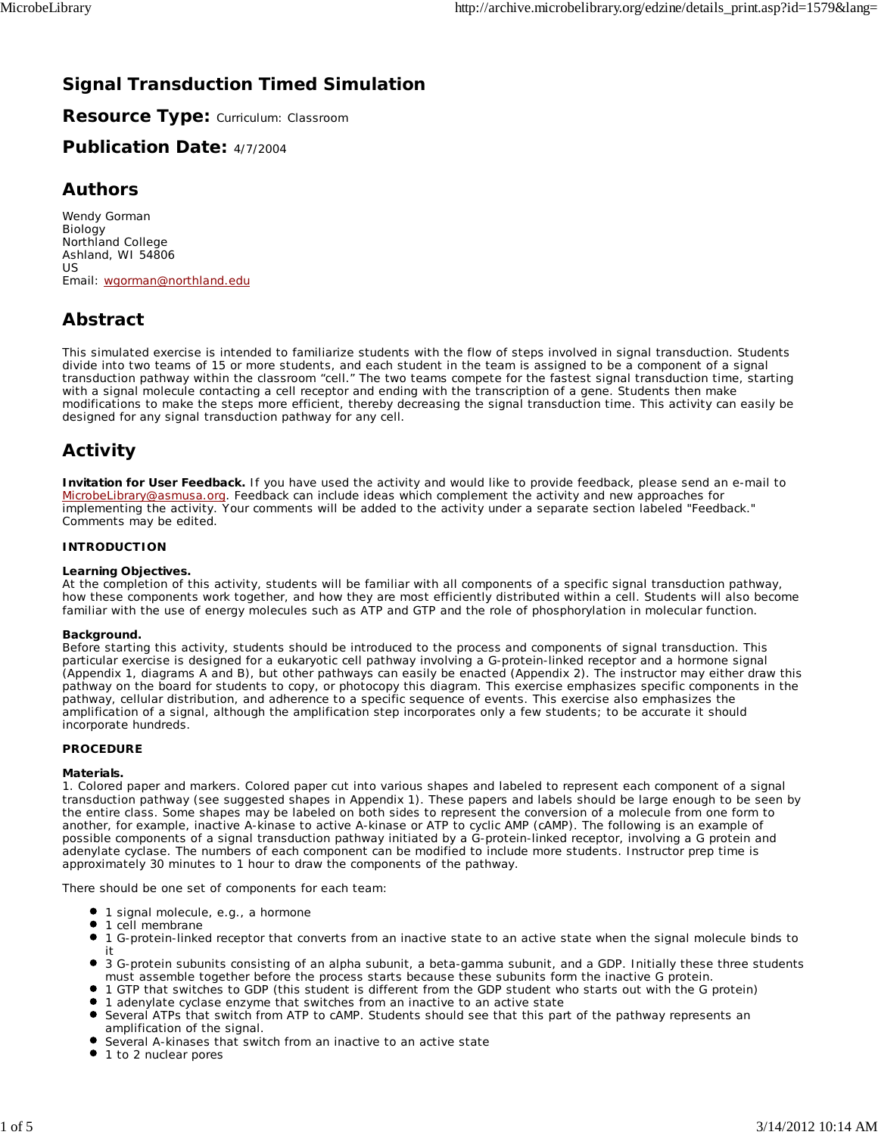# **Signal Transduction Timed Simulation**

**Resource Type:** Curriculum: Classroom

## **Publication Date:** 4/7/2004

### **Authors**

*Wendy Gorman* Biology Northland College Ashland, WI 54806 US Email: wgorman@northland.edu

# **Abstract**

This simulated exercise is intended to familiarize students with the flow of steps involved in signal transduction. Students divide into two teams of 15 or more students, and each student in the team is assigned to be a component of a signal transduction pathway within the classroom "cell." The two teams compete for the fastest signal transduction time, starting with a signal molecule contacting a cell receptor and ending with the transcription of a gene. Students then make modifications to make the steps more efficient, thereby decreasing the signal transduction time. This activity can easily be designed for any signal transduction pathway for any cell.

## **Activity**

**Invitation for User Feedback.** If you have used the activity and would like to provide feedback, please send an e-mail to MicrobeLibrary@asmusa.org. Feedback can include ideas which complement the activity and new approaches for implementing the activity. Your comments will be added to the activity under a separate section labeled "Feedback." Comments may be edited.

### **INTRODUCTION**

#### **Learning Objectives.**

At the completion of this activity, students will be familiar with all components of a specific signal transduction pathway, how these components work together, and how they are most efficiently distributed within a cell. Students will also become familiar with the use of energy molecules such as ATP and GTP and the role of phosphorylation in molecular function.

#### **Background.**

Before starting this activity, students should be introduced to the process and components of signal transduction. This particular exercise is designed for a eukaryotic cell pathway involving a G-protein-linked receptor and a hormone signal (Appendix 1, diagrams A and B), but other pathways can easily be enacted (Appendix 2). The instructor may either draw this pathway on the board for students to copy, or photocopy this diagram. This exercise emphasizes specific components in the pathway, cellular distribution, and adherence to a specific sequence of events. This exercise also emphasizes the amplification of a signal, although the amplification step incorporates only a few students; to be accurate it should incorporate hundreds.

### **PROCEDURE**

#### **Materials.**

1. Colored paper and markers. Colored paper cut into various shapes and labeled to represent each component of a signal transduction pathway (see suggested shapes in Appendix 1). These papers and labels should be large enough to be seen by the entire class. Some shapes may be labeled on both sides to represent the conversion of a molecule from one form to another, for example, inactive A-kinase to active A-kinase or ATP to cyclic AMP (cAMP). The following is an example of possible components of a signal transduction pathway initiated by a G-protein-linked receptor, involving a G protein and adenylate cyclase. The numbers of each component can be modified to include more students. Instructor prep time is approximately 30 minutes to 1 hour to draw the components of the pathway.

There should be one set of components for each team:

- 1 signal molecule, e.g., a hormone
- $\bullet$ 1 cell membrane
- $\bullet$ 1 G-protein-linked receptor that converts from an inactive state to an active state when the signal molecule binds to it
- 3 G-protein subunits consisting of an alpha subunit, a beta-gamma subunit, and a GDP. Initially these three students must assemble together before the process starts because these subunits form the inactive G protein.
- 1 GTP that switches to GDP (this student is different from the GDP student who starts out with the G protein)
- 1 adenylate cyclase enzyme that switches from an inactive to an active state
- Several ATPs that switch from ATP to cAMP. Students should see that this part of the pathway represents an amplification of the signal.
- Several A-kinases that switch from an inactive to an active state
- 1 to 2 nuclear pores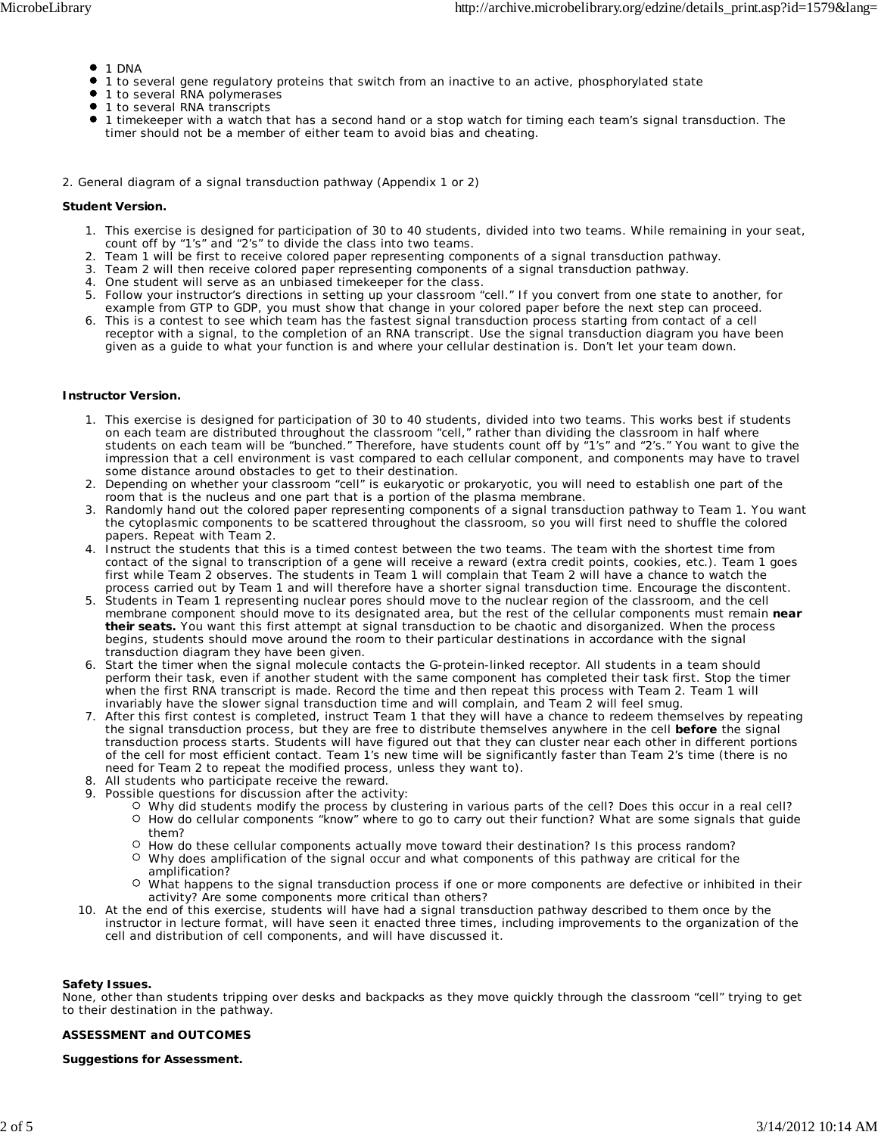- $1 DNA$
- 1 to several gene regulatory proteins that switch from an inactive to an active, phosphorylated state
- 1 to several RNA polymerases
- 1 to several RNA transcripts
- 1 timekeeper with a watch that has a second hand or a stop watch for timing each team's signal transduction. The timer should not be a member of either team to avoid bias and cheating.
- 2. General diagram of a signal transduction pathway (Appendix 1 or 2)

#### **Student Version.**

- 1. This exercise is designed for participation of 30 to 40 students, divided into two teams. While remaining in your seat, count off by "1's" and "2's" to divide the class into two teams.
- 2. Team 1 will be first to receive colored paper representing components of a signal transduction pathway.
- 3. Team 2 will then receive colored paper representing components of a signal transduction pathway.
- 4. One student will serve as an unbiased timekeeper for the class.
- 5. Follow your instructor's directions in setting up your classroom "cell." If you convert from one state to another, for example from GTP to GDP, you must show that change in your colored paper before the next step can proceed.
- 6. This is a contest to see which team has the fastest signal transduction process starting from contact of a cell receptor with a signal, to the completion of an RNA transcript. Use the signal transduction diagram you have been given as a guide to what your function is and where your cellular destination is. Don't let your team down.

#### **Instructor Version.**

- 1. This exercise is designed for participation of 30 to 40 students, divided into two teams. This works best if students on each team are distributed throughout the classroom "cell," rather than dividing the classroom in half where students on each team will be "bunched." Therefore, have students count off by "1's" and "2's." You want to give the impression that a cell environment is vast compared to each cellular component, and components may have to travel some distance around obstacles to get to their destination.
- 2. Depending on whether your classroom "cell" is eukaryotic or prokaryotic, you will need to establish one part of the room that is the nucleus and one part that is a portion of the plasma membrane.
- 3. Randomly hand out the colored paper representing components of a signal transduction pathway to Team 1. You want the cytoplasmic components to be scattered throughout the classroom, so you will first need to shuffle the colored papers. Repeat with Team 2.
- 4. Instruct the students that this is a timed contest between the two teams. The team with the shortest time from contact of the signal to transcription of a gene will receive a reward (extra credit points, cookies, etc.). Team 1 goes first while Team 2 observes. The students in Team 1 will complain that Team 2 will have a chance to watch the process carried out by Team 1 and will therefore have a shorter signal transduction time. Encourage the discontent.
- Students in Team 1 representing nuclear pores should move to the nuclear region of the classroom, and the cell 5. membrane component should move to its designated area, but the rest of the cellular components must remain **near their seats.** You want this first attempt at signal transduction to be chaotic and disorganized. When the process begins, students should move around the room to their particular destinations in accordance with the signal transduction diagram they have been given.
- 6. Start the timer when the signal molecule contacts the G-protein-linked receptor. All students in a team should perform their task, even if another student with the same component has completed their task first. Stop the timer when the first RNA transcript is made. Record the time and then repeat this process with Team 2. Team 1 will invariably have the slower signal transduction time and will complain, and Team 2 will feel smug.
- 7. After this first contest is completed, instruct Team 1 that they will have a chance to redeem themselves by repeating the signal transduction process, but they are free to distribute themselves anywhere in the cell **before** the signal transduction process starts. Students will have figured out that they can cluster near each other in different portions of the cell for most efficient contact. Team 1's new time will be significantly faster than Team 2's time (there is no need for Team 2 to repeat the modified process, unless they want to).
- 8. All students who participate receive the reward.
- 9. Possible questions for discussion after the activity:
	- O Why did students modify the process by clustering in various parts of the cell? Does this occur in a real cell?  $\circ$  How do cellular components "know" where to go to carry out their function? What are some signals that guide them?
	- O How do these cellular components actually move toward their destination? Is this process random?
	- $\circ$  Why does amplification of the signal occur and what components of this pathway are critical for the amplification?
	- What happens to the signal transduction process if one or more components are defective or inhibited in their activity? Are some components more critical than others?
- 10. At the end of this exercise, students will have had a signal transduction pathway described to them once by the instructor in lecture format, will have seen it enacted three times, including improvements to the organization of the cell and distribution of cell components, and will have discussed it.

#### **Safety Issues.**

None, other than students tripping over desks and backpacks as they move quickly through the classroom "cell" trying to get to their destination in the pathway.

#### **ASSESSMENT and OUTCOMES**

#### **Suggestions for Assessment.**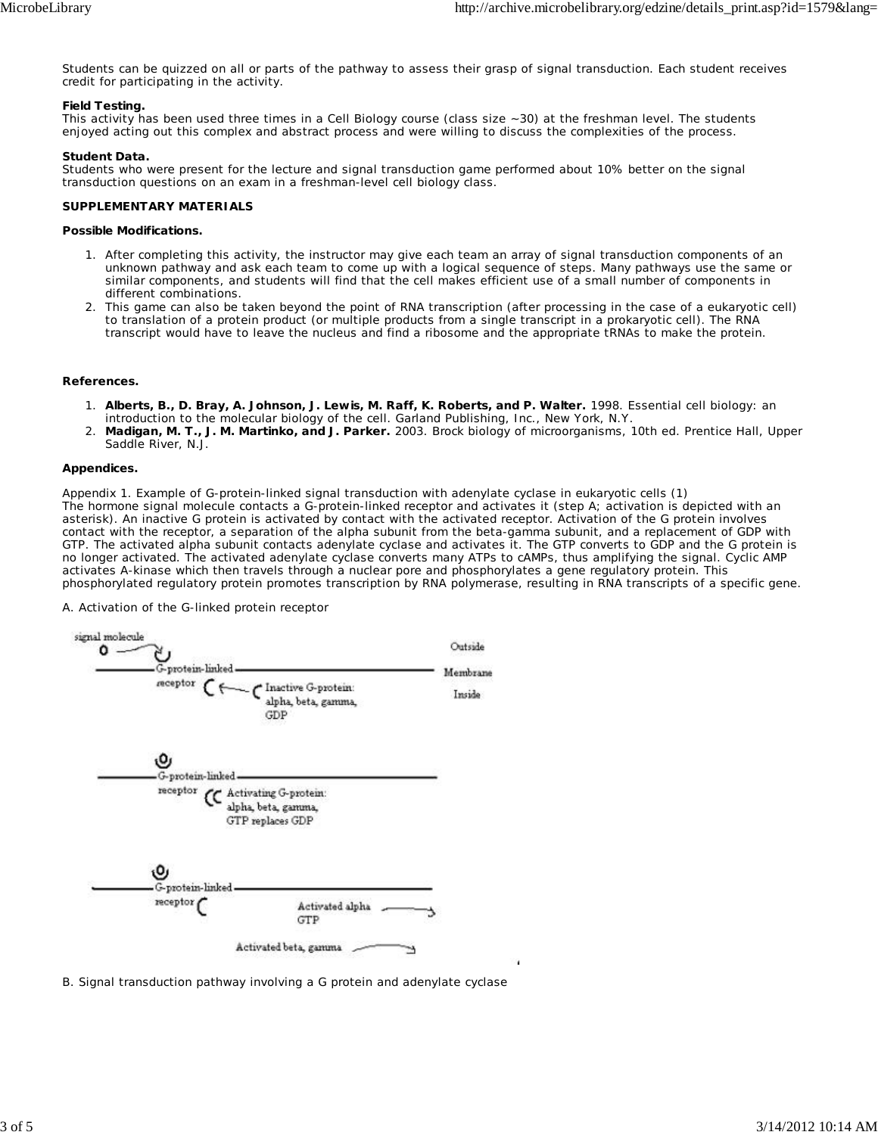Students can be quizzed on all or parts of the pathway to assess their grasp of signal transduction. Each student receives credit for participating in the activity.

#### **Field Testing.**

This activity has been used three times in a Cell Biology course (class size ~30) at the freshman level. The students enjoyed acting out this complex and abstract process and were willing to discuss the complexities of the process.

#### **Student Data.**

Students who were present for the lecture and signal transduction game performed about 10% better on the signal transduction questions on an exam in a freshman-level cell biology class.

#### **SUPPLEMENTARY MATERIALS**

#### **Possible Modifications.**

- 1. After completing this activity, the instructor may give each team an array of signal transduction components of an unknown pathway and ask each team to come up with a logical sequence of steps. Many pathways use the same or similar components, and students will find that the cell makes efficient use of a small number of components in different combinations.
- 2. This game can also be taken beyond the point of RNA transcription (after processing in the case of a eukaryotic cell) to translation of a protein product (or multiple products from a single transcript in a prokaryotic cell). The RNA transcript would have to leave the nucleus and find a ribosome and the appropriate tRNAs to make the protein.

#### **References.**

- **Alberts, B., D. Bray, A. Johnson, J. Lewis, M. Raff, K. Roberts, and P. Walter.** 1998. Essential cell biology: an 1. introduction to the molecular biology of the cell. Garland Publishing, Inc., New York, N.Y.
- **Madigan, M. T., J. M. Martinko, and J. Parker.** 2003. Brock biology of microorganisms, 10th ed. Prentice Hall, Upper Saddle River, N.J. 2.

#### **Appendices.**

Appendix 1. Example of G-protein-linked signal transduction with adenylate cyclase in eukaryotic cells (1) The hormone signal molecule contacts a G-protein-linked receptor and activates it (step A; activation is depicted with an asterisk). An inactive G protein is activated by contact with the activated receptor. Activation of the G protein involves contact with the receptor, a separation of the alpha subunit from the beta-gamma subunit, and a replacement of GDP with GTP. The activated alpha subunit contacts adenylate cyclase and activates it. The GTP converts to GDP and the G protein is no longer activated. The activated adenylate cyclase converts many ATPs to cAMPs, thus amplifying the signal. Cyclic AMP activates A-kinase which then travels through a nuclear pore and phosphorylates a gene regulatory protein. This phosphorylated regulatory protein promotes transcription by RNA polymerase, resulting in RNA transcripts of a specific gene.

A. Activation of the G-linked protein receptor



B. Signal transduction pathway involving a G protein and adenylate cyclase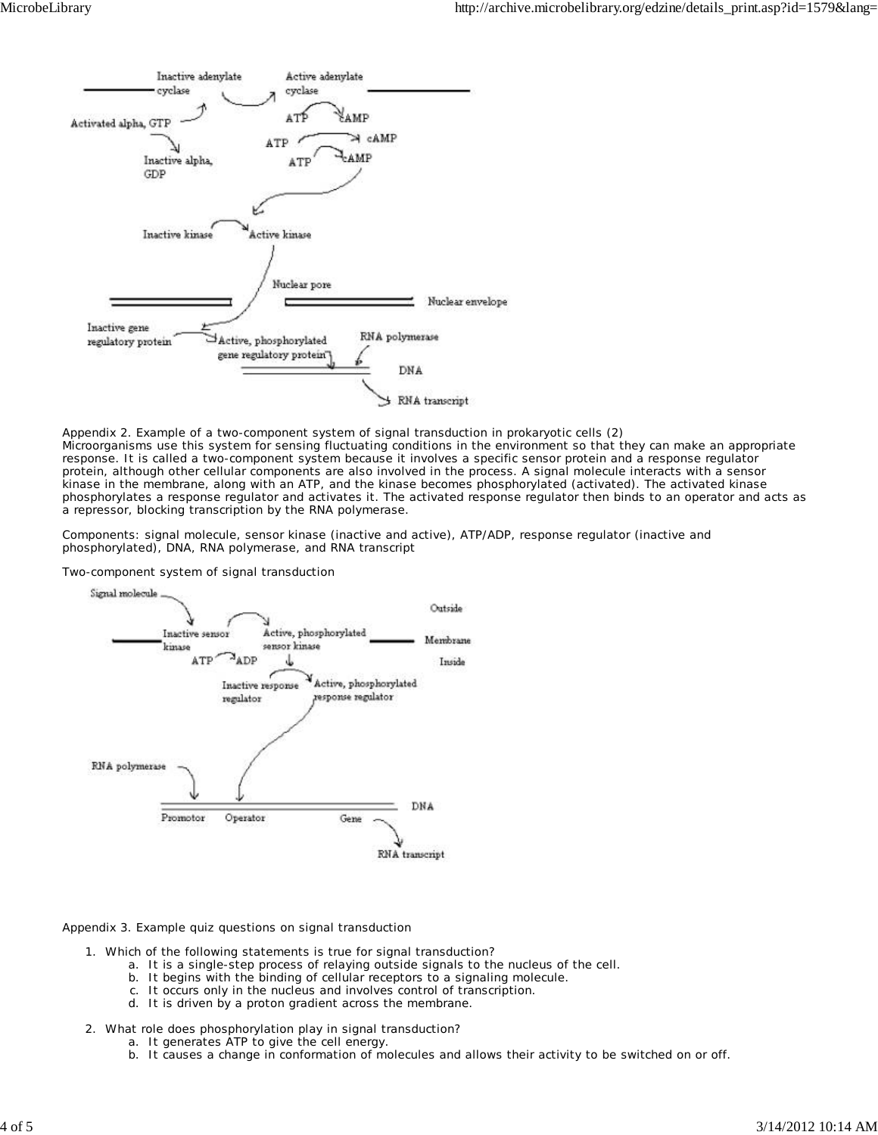

Appendix 2. Example of a two-component system of signal transduction in prokaryotic cells (2) Microorganisms use this system for sensing fluctuating conditions in the environment so that they can make an appropriate response. It is called a two-component system because it involves a specific sensor protein and a response regulator protein, although other cellular components are also involved in the process. A signal molecule interacts with a sensor kinase in the membrane, along with an ATP, and the kinase becomes phosphorylated (activated). The activated kinase phosphorylates a response regulator and activates it. The activated response regulator then binds to an operator and acts as a repressor, blocking transcription by the RNA polymerase.

Components: signal molecule, sensor kinase (inactive and active), ATP/ADP, response regulator (inactive and phosphorylated), DNA, RNA polymerase, and RNA transcript

Two-component system of signal transduction



Appendix 3. Example quiz questions on signal transduction

- Which of the following statements is true for signal transduction? 1.
	- a. It is a single-step process of relaying outside signals to the nucleus of the cell.
	- b. It begins with the binding of cellular receptors to a signaling molecule.
	- c. It occurs only in the nucleus and involves control of transcription.
	- d. It is driven by a proton gradient across the membrane.
- 2. What role does phosphorylation play in signal transduction?
	- a. It generates ATP to give the cell energy.
		- b. It causes a change in conformation of molecules and allows their activity to be switched on or off.